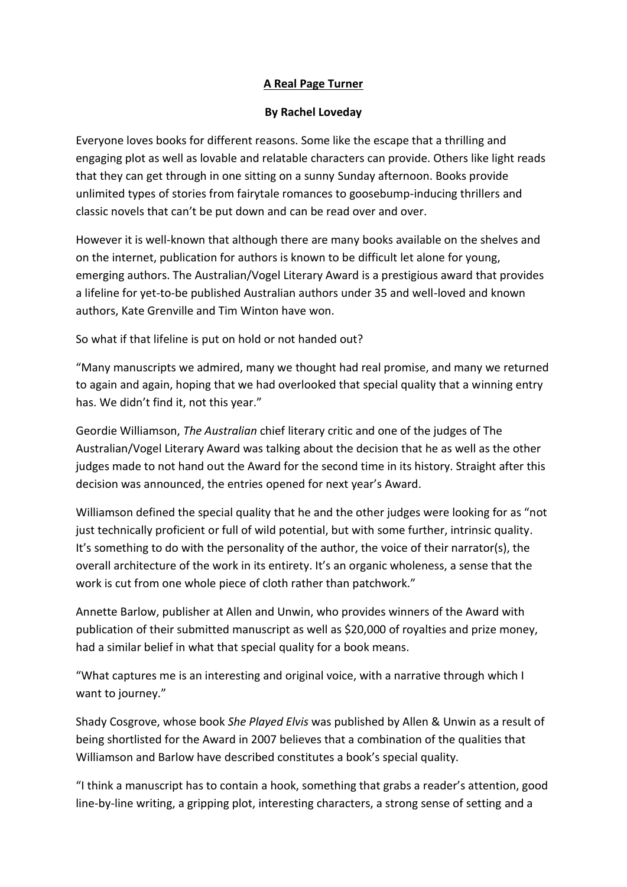## **A Real Page Turner**

## **By Rachel Loveday**

Everyone loves books for different reasons. Some like the escape that a thrilling and engaging plot as well as lovable and relatable characters can provide. Others like light reads that they can get through in one sitting on a sunny Sunday afternoon. Books provide unlimited types of stories from fairytale romances to goosebump-inducing thrillers and classic novels that can't be put down and can be read over and over.

However it is well-known that although there are many books available on the shelves and on the internet, publication for authors is known to be difficult let alone for young, emerging authors. The Australian/Vogel Literary Award is a prestigious award that provides a lifeline for yet-to-be published Australian authors under 35 and well-loved and known authors, Kate Grenville and Tim Winton have won.

So what if that lifeline is put on hold or not handed out?

"Many manuscripts we admired, many we thought had real promise, and many we returned to again and again, hoping that we had overlooked that special quality that a winning entry has. We didn't find it, not this year."

Geordie Williamson, *The Australian* chief literary critic and one of the judges of The Australian/Vogel Literary Award was talking about the decision that he as well as the other judges made to not hand out the Award for the second time in its history. Straight after this decision was announced, the entries opened for next year's Award.

Williamson defined the special quality that he and the other judges were looking for as "not just technically proficient or full of wild potential, but with some further, intrinsic quality. It's something to do with the personality of the author, the voice of their narrator(s), the overall architecture of the work in its entirety. It's an organic wholeness, a sense that the work is cut from one whole piece of cloth rather than patchwork."

Annette Barlow, publisher at Allen and Unwin, who provides winners of the Award with publication of their submitted manuscript as well as \$20,000 of royalties and prize money, had a similar belief in what that special quality for a book means.

"What captures me is an interesting and original voice, with a narrative through which I want to journey."

Shady Cosgrove, whose book *She Played Elvis* was published by Allen & Unwin as a result of being shortlisted for the Award in 2007 believes that a combination of the qualities that Williamson and Barlow have described constitutes a book's special quality.

"I think a manuscript has to contain a hook, something that grabs a reader's attention, good line-by-line writing, a gripping plot, interesting characters, a strong sense of setting and a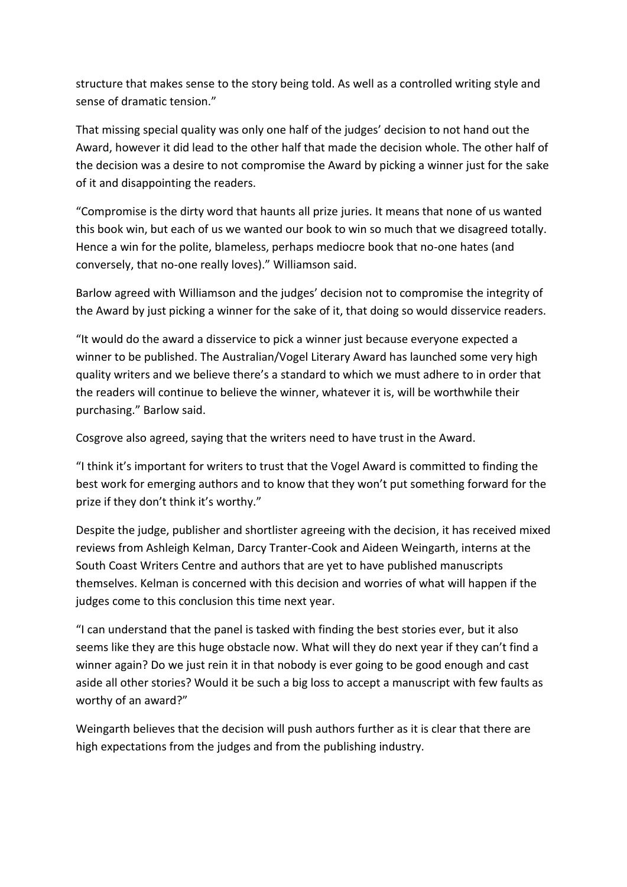structure that makes sense to the story being told. As well as a controlled writing style and sense of dramatic tension."

That missing special quality was only one half of the judges' decision to not hand out the Award, however it did lead to the other half that made the decision whole. The other half of the decision was a desire to not compromise the Award by picking a winner just for the sake of it and disappointing the readers.

"Compromise is the dirty word that haunts all prize juries. It means that none of us wanted this book win, but each of us we wanted our book to win so much that we disagreed totally. Hence a win for the polite, blameless, perhaps mediocre book that no-one hates (and conversely, that no-one really loves)." Williamson said.

Barlow agreed with Williamson and the judges' decision not to compromise the integrity of the Award by just picking a winner for the sake of it, that doing so would disservice readers.

"It would do the award a disservice to pick a winner just because everyone expected a winner to be published. The Australian/Vogel Literary Award has launched some very high quality writers and we believe there's a standard to which we must adhere to in order that the readers will continue to believe the winner, whatever it is, will be worthwhile their purchasing." Barlow said.

Cosgrove also agreed, saying that the writers need to have trust in the Award.

"I think it's important for writers to trust that the Vogel Award is committed to finding the best work for emerging authors and to know that they won't put something forward for the prize if they don't think it's worthy."

Despite the judge, publisher and shortlister agreeing with the decision, it has received mixed reviews from Ashleigh Kelman, Darcy Tranter-Cook and Aideen Weingarth, interns at the South Coast Writers Centre and authors that are yet to have published manuscripts themselves. Kelman is concerned with this decision and worries of what will happen if the judges come to this conclusion this time next year.

"I can understand that the panel is tasked with finding the best stories ever, but it also seems like they are this huge obstacle now. What will they do next year if they can't find a winner again? Do we just rein it in that nobody is ever going to be good enough and cast aside all other stories? Would it be such a big loss to accept a manuscript with few faults as worthy of an award?"

Weingarth believes that the decision will push authors further as it is clear that there are high expectations from the judges and from the publishing industry.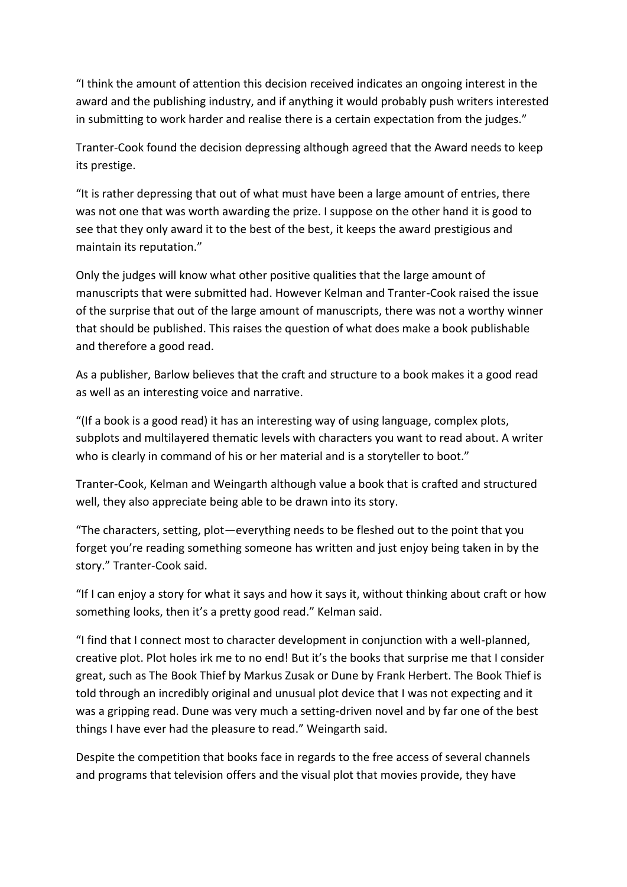"I think the amount of attention this decision received indicates an ongoing interest in the award and the publishing industry, and if anything it would probably push writers interested in submitting to work harder and realise there is a certain expectation from the judges."

Tranter-Cook found the decision depressing although agreed that the Award needs to keep its prestige.

"It is rather depressing that out of what must have been a large amount of entries, there was not one that was worth awarding the prize. I suppose on the other hand it is good to see that they only award it to the best of the best, it keeps the award prestigious and maintain its reputation."

Only the judges will know what other positive qualities that the large amount of manuscripts that were submitted had. However Kelman and Tranter-Cook raised the issue of the surprise that out of the large amount of manuscripts, there was not a worthy winner that should be published. This raises the question of what does make a book publishable and therefore a good read.

As a publisher, Barlow believes that the craft and structure to a book makes it a good read as well as an interesting voice and narrative.

"(If a book is a good read) it has an interesting way of using language, complex plots, subplots and multilayered thematic levels with characters you want to read about. A writer who is clearly in command of his or her material and is a storyteller to boot."

Tranter-Cook, Kelman and Weingarth although value a book that is crafted and structured well, they also appreciate being able to be drawn into its story.

"The characters, setting, plot—everything needs to be fleshed out to the point that you forget you're reading something someone has written and just enjoy being taken in by the story." Tranter-Cook said.

"If I can enjoy a story for what it says and how it says it, without thinking about craft or how something looks, then it's a pretty good read." Kelman said.

"I find that I connect most to character development in conjunction with a well-planned, creative plot. Plot holes irk me to no end! But it's the books that surprise me that I consider great, such as The Book Thief by Markus Zusak or Dune by Frank Herbert. The Book Thief is told through an incredibly original and unusual plot device that I was not expecting and it was a gripping read. Dune was very much a setting-driven novel and by far one of the best things I have ever had the pleasure to read." Weingarth said.

Despite the competition that books face in regards to the free access of several channels and programs that television offers and the visual plot that movies provide, they have